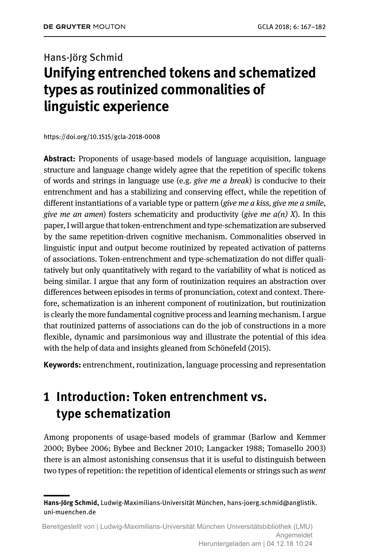# Hans-Jörg Schmid **Unifying entrenched tokens and schematized types as routinized commonalities of linguistic experience**

https://doi.org/10.1515/gcla-2018-0008

**Abstract:** Proponents of usage-based models of language acquisition, language structure and language change widely agree that the repetition of specific tokens of words and strings in language use (e.g. *give me a break*) is conducive to their entrenchment and has a stabilizing and conserving effect, while the repetition of different instantiations of a variable type or pattern (*give me a kiss, give me a smile, give me an amen*) fosters schematicity and productivity (*give me a(n) X*). In this paper, I will argue that token-entrenchment and type-schematization are subserved by the same repetition-driven cognitive mechanism. Commonalities observed in linguistic input and output become routinized by repeated activation of patterns of associations. Token-entrenchment and type-schematization do not differ qualitatively but only quantitatively with regard to the variability of what is noticed as being similar. I argue that any form of routinization requires an abstraction over differences between episodes in terms of pronunciation, cotext and context. Therefore, schematization is an inherent component of routinization, but routinization is clearly the more fundamental cognitive process and learning mechanism. I argue that routinized patterns of associations can do the job of constructions in a more flexible, dynamic and parsimonious way and illustrate the potential of this idea with the help of data and insights gleaned from Schönefeld (2015).

**Keywords:** entrenchment, routinization, language processing and representation

# **1 Introduction: Token entrenchment vs. type schematization**

Among proponents of usage-based models of grammar (Barlow and Kemmer 2000; Bybee 2006; Bybee and Beckner 2010; Langacker 1988; Tomasello 2003) there is an almost astonishing consensus that it is useful to distinguish between two types of repetition: the repetition of identical elements or strings such as *went*

**Hans-Jörg Schmid,** Ludwig-Maximilians-Universität München, hans-joerg.schmid@anglistik. uni-muenchen.de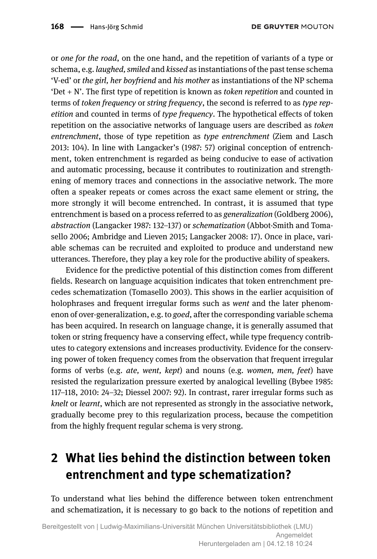or *one for the road*, on the one hand, and the repetition of variants of a type or schema, e.g. *laughed, smiled* and *kissed* as instantiations of the past tense schema 'V-ed' or *the girl, her boyfriend* and *his mother* as instantiations of the NP schema 'Det + N'. The first type of repetition is known as *token repetition* and counted in terms of *token frequency* or *string frequency*, the second is referred to as *type repetition* and counted in terms of *type frequency*. The hypothetical effects of token repetition on the associative networks of language users are described as *token entrenchment*, those of type repetition as *type entrenchment* (Ziem and Lasch 2013: 104). In line with Langacker's (1987: 57) original conception of entrenchment, token entrenchment is regarded as being conducive to ease of activation and automatic processing, because it contributes to routinization and strengthening of memory traces and connections in the associative network. The more often a speaker repeats or comes across the exact same element or string, the more strongly it will become entrenched. In contrast, it is assumed that type entrenchment is based on a process referred to as *generalization* (Goldberg 2006), *abstraction* (Langacker 1987: 132–137) or *schematization* (Abbot-Smith and Tomasello 2006; Ambridge and Lieven 2015; Langacker 2008: 17). Once in place, variable schemas can be recruited and exploited to produce and understand new utterances. Therefore, they play a key role for the productive ability of speakers.

Evidence for the predictive potential of this distinction comes from different fields. Research on language acquisition indicates that token entrenchment precedes schematization (Tomasello 2003). This shows in the earlier acquisition of holophrases and frequent irregular forms such as *went* and the later phenomenon of over-generalization, e.g. to *goed*, after the corresponding variable schema has been acquired. In research on language change, it is generally assumed that token or string frequency have a conserving effect, while type frequency contributes to category extensions and increases productivity. Evidence for the conserving power of token frequency comes from the observation that frequent irregular forms of verbs (e.g. *ate, went, kept*) and nouns (e.g. *women, men, feet*) have resisted the regularization pressure exerted by analogical levelling (Bybee 1985: 117–118, 2010: 24–32; Diessel 2007: 92). In contrast, rarer irregular forms such as *knelt* or *learnt*, which are not represented as strongly in the associative network, gradually become prey to this regularization process, because the competition from the highly frequent regular schema is very strong.

# **2 What lies behind the distinction between token entrenchment and type schematization?**

To understand what lies behind the difference between token entrenchment and schematization, it is necessary to go back to the notions of repetition and

Bereitgestellt von | Ludwig-Maximilians-Universität München Universitätsbibliothek (LMU) Angemeldet Heruntergeladen am | 04.12.18 10:24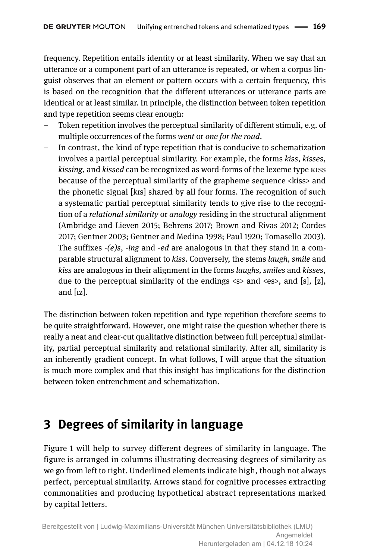frequency. Repetition entails identity or at least similarity. When we say that an utterance or a component part of an utterance is repeated, or when a corpus linguist observes that an element or pattern occurs with a certain frequency, this is based on the recognition that the different utterances or utterance parts are identical or at least similar. In principle, the distinction between token repetition and type repetition seems clear enough:

- Token repetition involves the perceptual similarity of different stimuli, e.g. of multiple occurrences of the forms *went* or *one for the road*.
- In contrast, the kind of type repetition that is conducive to schematization involves a partial perceptual similarity. For example, the forms *kiss*, *kisses*, *kissing*, and *kissed* can be recognized as word-forms of the lexeme type kiss because of the perceptual similarity of the grapheme sequence <kiss> and the phonetic signal [kɪs] shared by all four forms. The recognition of such a systematic partial perceptual similarity tends to give rise to the recognition of a *relational similarity* or *analogy* residing in the structural alignment (Ambridge and Lieven 2015; Behrens 2017; Brown and Rivas 2012; Cordes 2017; Gentner 2003; Gentner and Medina 1998; Paul 1920; Tomasello 2003). The suffixes *-(e)s*, -*ing* and *-ed* are analogous in that they stand in a comparable structural alignment to *kiss*. Conversely, the stems *laugh, smile* and *kiss* are analogous in their alignment in the forms *laughs, smiles* and *kisses*, due to the perceptual similarity of the endings  $\langle s \rangle$  and  $\langle es \rangle$ , and [s], [z], and [ɪz].

The distinction between token repetition and type repetition therefore seems to be quite straightforward. However, one might raise the question whether there is really a neat and clear-cut qualitative distinction between full perceptual similarity, partial perceptual similarity and relational similarity. After all, similarity is an inherently gradient concept. In what follows, I will argue that the situation is much more complex and that this insight has implications for the distinction between token entrenchment and schematization.

## **3 Degrees of similarity in language**

Figure 1 will help to survey different degrees of similarity in language. The figure is arranged in columns illustrating decreasing degrees of similarity as we go from left to right. Underlined elements indicate high, though not always perfect, perceptual similarity. Arrows stand for cognitive processes extracting commonalities and producing hypothetical abstract representations marked by capital letters.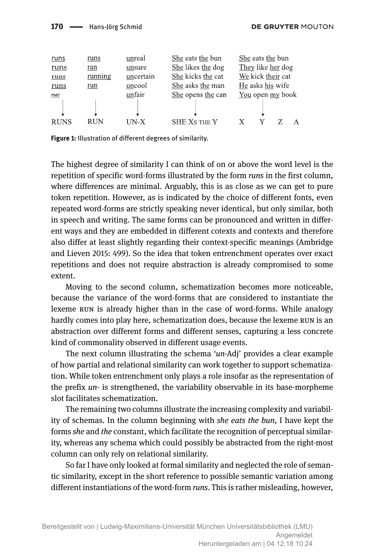

**Figure 1:** Illustration of different degrees of similarity.

The highest degree of similarity I can think of on or above the word level is the repetition of specific word-forms illustrated by the form *runs* in the first column, where differences are minimal. Arguably, this is as close as we can get to pure token repetition. However, as is indicated by the choice of different fonts, even repeated word-forms are strictly speaking never identical, but only similar, both in speech and writing. The same forms can be pronounced and written in different ways and they are embedded in different cotexts and contexts and therefore also differ at least slightly regarding their context-specific meanings (Ambridge and Lieven 2015: 499). So the idea that token entrenchment operates over exact repetitions and does not require abstraction is already compromised to some extent.

Moving to the second column, schematization becomes more noticeable, because the variance of the word-forms that are considered to instantiate the lexeme RUN is already higher than in the case of word-forms. While analogy hardly comes into play here, schematization does, because the lexeme run is an abstraction over different forms and different senses, capturing a less concrete kind of commonality observed in different usage events.

The next column illustrating the schema '*un*-Adj' provides a clear example of how partial and relational similarity can work together to support schematization. While token entrenchment only plays a role insofar as the representation of the prefix *un*- is strengthened, the variability observable in its base-morpheme slot facilitates schematization.

The remaining two columns illustrate the increasing complexity and variability of schemas. In the column beginning with *she eats the bun*, I have kept the forms *she* and *the* constant, which facilitate the recognition of perceptual similarity, whereas any schema which could possibly be abstracted from the right-most column can only rely on relational similarity.

So far I have only looked at formal similarity and neglected the role of semantic similarity, except in the short reference to possible semantic variation among different instantiations of the word-form *runs*. This is rather misleading, however,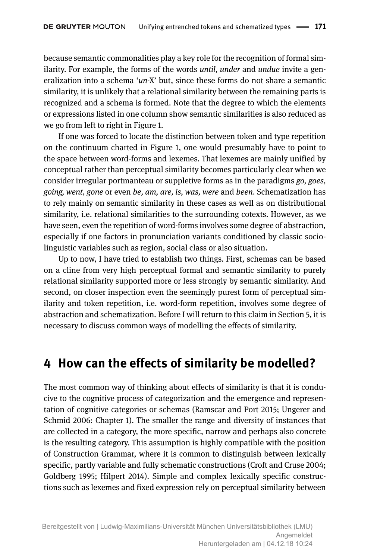because semantic commonalities play a key role for the recognition of formal similarity. For example, the forms of the words *until, under* and *undue* invite a generalization into a schema '*un*-X' but, since these forms do not share a semantic similarity, it is unlikely that a relational similarity between the remaining parts is recognized and a schema is formed. Note that the degree to which the elements or expressions listed in one column show semantic similarities is also reduced as we go from left to right in Figure 1.

If one was forced to locate the distinction between token and type repetition on the continuum charted in Figure 1, one would presumably have to point to the space between word-forms and lexemes. That lexemes are mainly unified by conceptual rather than perceptual similarity becomes particularly clear when we consider irregular portmanteau or suppletive forms as in the paradigms *go, goes, going, went, gone* or even *be, am, are, is, was, were* and *been*. Schematization has to rely mainly on semantic similarity in these cases as well as on distributional similarity, i.e. relational similarities to the surrounding cotexts. However, as we have seen, even the repetition of word-forms involves some degree of abstraction, especially if one factors in pronunciation variants conditioned by classic sociolinguistic variables such as region, social class or also situation.

Up to now, I have tried to establish two things. First, schemas can be based on a cline from very high perceptual formal and semantic similarity to purely relational similarity supported more or less strongly by semantic similarity. And second, on closer inspection even the seemingly purest form of perceptual similarity and token repetition, i.e. word-form repetition, involves some degree of abstraction and schematization. Before I will return to this claim in Section 5, it is necessary to discuss common ways of modelling the effects of similarity.

#### **4 How can the effects of similarity be modelled?**

The most common way of thinking about effects of similarity is that it is conducive to the cognitive process of categorization and the emergence and representation of cognitive categories or schemas (Ramscar and Port 2015; Ungerer and Schmid 2006: Chapter 1). The smaller the range and diversity of instances that are collected in a category, the more specific, narrow and perhaps also concrete is the resulting category. This assumption is highly compatible with the position of Construction Grammar, where it is common to distinguish between lexically specific, partly variable and fully schematic constructions (Croft and Cruse 2004; Goldberg 1995; Hilpert 2014). Simple and complex lexically specific constructions such as lexemes and fixed expression rely on perceptual similarity between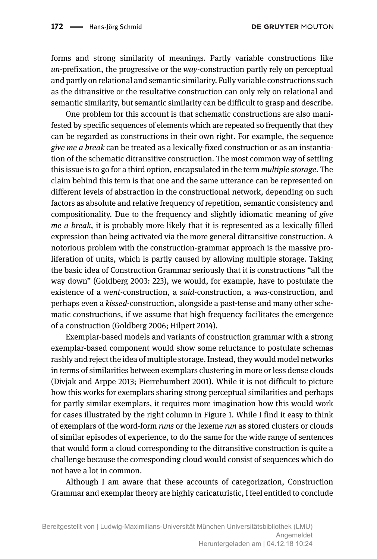forms and strong similarity of meanings. Partly variable constructions like *un*-prefixation, the progressive or the *way*-construction partly rely on perceptual and partly on relational and semantic similarity. Fully variable constructions such as the ditransitive or the resultative construction can only rely on relational and semantic similarity, but semantic similarity can be difficult to grasp and describe.

One problem for this account is that schematic constructions are also manifested by specific sequences of elements which are repeated so frequently that they can be regarded as constructions in their own right. For example, the sequence *give me a break* can be treated as a lexically-fixed construction or as an instantiation of the schematic ditransitive construction. The most common way of settling this issue is to go for a third option, encapsulated in the term *multiple storage*. The claim behind this term is that one and the same utterance can be represented on different levels of abstraction in the constructional network, depending on such factors as absolute and relative frequency of repetition, semantic consistency and compositionality. Due to the frequency and slightly idiomatic meaning of *give me a break*, it is probably more likely that it is represented as a lexically filled expression than being activated via the more general ditransitive construction. A notorious problem with the construction-grammar approach is the massive proliferation of units, which is partly caused by allowing multiple storage. Taking the basic idea of Construction Grammar seriously that it is constructions "all the way down" (Goldberg 2003: 223), we would, for example, have to postulate the existence of a *went*-construction, a *said*-construction, a *was-*construction, and perhaps even a *kissed*-construction, alongside a past-tense and many other schematic constructions, if we assume that high frequency facilitates the emergence of a construction (Goldberg 2006; Hilpert 2014).

Exemplar-based models and variants of construction grammar with a strong exemplar-based component would show some reluctance to postulate schemas rashly and reject the idea of multiple storage. Instead, they would model networks in terms of similarities between exemplars clustering in more or less dense clouds (Divjak and Arppe 2013; Pierrehumbert 2001). While it is not difficult to picture how this works for exemplars sharing strong perceptual similarities and perhaps for partly similar exemplars, it requires more imagination how this would work for cases illustrated by the right column in Figure 1. While I find it easy to think of exemplars of the word-form *runs* or the lexeme *run* as stored clusters or clouds of similar episodes of experience, to do the same for the wide range of sentences that would form a cloud corresponding to the ditransitive construction is quite a challenge because the corresponding cloud would consist of sequences which do not have a lot in common.

Although I am aware that these accounts of categorization, Construction Grammar and exemplar theory are highly caricaturistic, I feel entitled to conclude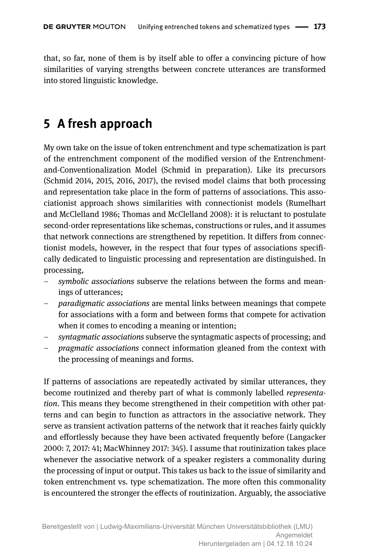that, so far, none of them is by itself able to offer a convincing picture of how similarities of varying strengths between concrete utterances are transformed into stored linguistic knowledge.

#### **5 A fresh approach**

My own take on the issue of token entrenchment and type schematization is part of the entrenchment component of the modified version of the Entrenchmentand-Conventionalization Model (Schmid in preparation). Like its precursors (Schmid 2014, 2015, 2016, 2017), the revised model claims that both processing and representation take place in the form of patterns of associations. This associationist approach shows similarities with connectionist models (Rumelhart and McClelland 1986; Thomas and McClelland 2008): it is reluctant to postulate second-order representations like schemas, constructions or rules, and it assumes that network connections are strengthened by repetition. It differs from connectionist models, however, in the respect that four types of associations specifically dedicated to linguistic processing and representation are distinguished. In processing,

- *symbolic associations* subserve the relations between the forms and meanings of utterances;
- *paradigmatic associations* are mental links between meanings that compete for associations with a form and between forms that compete for activation when it comes to encoding a meaning or intention;
- *syntagmatic associations* subserve the syntagmatic aspects of processing; and
- *pragmatic associations* connect information gleaned from the context with the processing of meanings and forms.

If patterns of associations are repeatedly activated by similar utterances, they become routinized and thereby part of what is commonly labelled *representation*. This means they become strengthened in their competition with other patterns and can begin to function as attractors in the associative network. They serve as transient activation patterns of the network that it reaches fairly quickly and effortlessly because they have been activated frequently before (Langacker 2000: 7, 2017: 41; MacWhinney 2017: 345). I assume that routinization takes place whenever the associative network of a speaker registers a commonality during the processing of input or output. This takes us back to the issue of similarity and token entrenchment vs. type schematization. The more often this commonality is encountered the stronger the effects of routinization. Arguably, the associative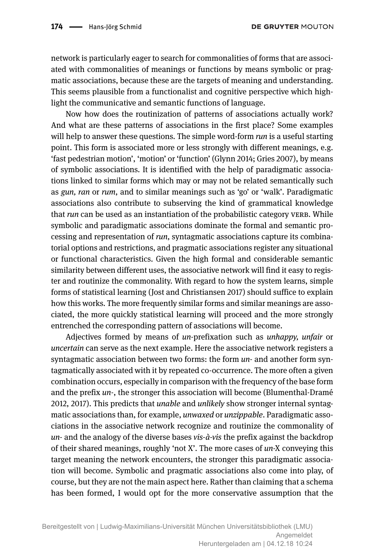network is particularly eager to search for commonalities of forms that are associated with commonalities of meanings or functions by means symbolic or pragmatic associations, because these are the targets of meaning and understanding. This seems plausible from a functionalist and cognitive perspective which highlight the communicative and semantic functions of language.

Now how does the routinization of patterns of associations actually work? And what are these patterns of associations in the first place? Some examples will help to answer these questions. The simple word-form *run* is a useful starting point. This form is associated more or less strongly with different meanings, e.g. 'fast pedestrian motion', 'motion' or 'function' (Glynn 2014; Gries 2007), by means of symbolic associations. It is identified with the help of paradigmatic associations linked to similar forms which may or may not be related semantically such as *gun, ran* or *rum*, and to similar meanings such as 'go' or 'walk'. Paradigmatic associations also contribute to subserving the kind of grammatical knowledge that *run* can be used as an instantiation of the probabilistic category verge. While symbolic and paradigmatic associations dominate the formal and semantic processing and representation of *run*, syntagmatic associations capture its combinatorial options and restrictions, and pragmatic associations register any situational or functional characteristics. Given the high formal and considerable semantic similarity between different uses, the associative network will find it easy to register and routinize the commonality. With regard to how the system learns, simple forms of statistical learning (Jost and Christiansen 2017) should suffice to explain how this works. The more frequently similar forms and similar meanings are associated, the more quickly statistical learning will proceed and the more strongly entrenched the corresponding pattern of associations will become.

Adjectives formed by means of *un-*prefixation such as *unhappy, unfair* or *uncertain* can serve as the next example. Here the associative network registers a syntagmatic association between two forms: the form *un-* and another form syntagmatically associated with it by repeated co-occurrence. The more often a given combination occurs, especially in comparison with the frequency of the base form and the prefix *un-*, the stronger this association will become (Blumenthal-Dramé 2012, 2017). This predicts that *unable* and *unlikely* show stronger internal syntagmatic associations than, for example, *unwaxed* or *unzippable*. Paradigmatic associations in the associative network recognize and routinize the commonality of *un*- and the analogy of the diverse bases *vis-à-vis* the prefix against the backdrop of their shared meanings, roughly 'not X'. The more cases of *un*-X conveying this target meaning the network encounters, the stronger this paradigmatic association will become. Symbolic and pragmatic associations also come into play, of course, but they are not the main aspect here. Rather than claiming that a schema has been formed, I would opt for the more conservative assumption that the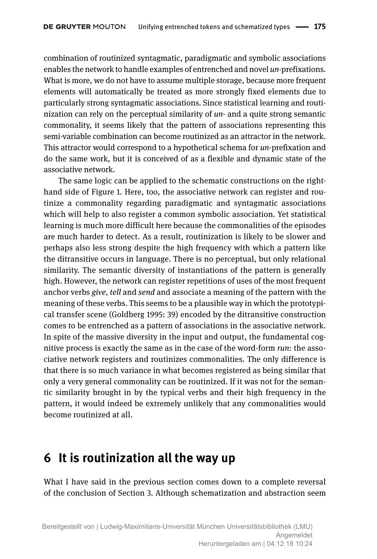combination of routinized syntagmatic, paradigmatic and symbolic associations enables the network to handle examples of entrenched and novel *un-*prefixations. What is more, we do not have to assume multiple storage, because more frequent elements will automatically be treated as more strongly fixed elements due to particularly strong syntagmatic associations. Since statistical learning and routinization can rely on the perceptual similarity of *un-* and a quite strong semantic commonality, it seems likely that the pattern of associations representing this semi-variable combination can become routinized as an attractor in the network. This attractor would correspond to a hypothetical schema for *un-*prefixation and do the same work, but it is conceived of as a flexible and dynamic state of the associative network.

The same logic can be applied to the schematic constructions on the righthand side of Figure 1. Here, too, the associative network can register and routinize a commonality regarding paradigmatic and syntagmatic associations which will help to also register a common symbolic association. Yet statistical learning is much more difficult here because the commonalities of the episodes are much harder to detect. As a result, routinization is likely to be slower and perhaps also less strong despite the high frequency with which a pattern like the ditransitive occurs in language. There is no perceptual, but only relational similarity. The semantic diversity of instantiations of the pattern is generally high. However, the network can register repetitions of uses of the most frequent anchor verbs *give, tell* and *send* and associate a meaning of the pattern with the meaning of these verbs. This seems to be a plausible way in which the prototypical transfer scene (Goldberg 1995: 39) encoded by the ditransitive construction comes to be entrenched as a pattern of associations in the associative network. In spite of the massive diversity in the input and output, the fundamental cognitive process is exactly the same as in the case of the word-form *run*: the associative network registers and routinizes commonalities. The only difference is that there is so much variance in what becomes registered as being similar that only a very general commonality can be routinized. If it was not for the semantic similarity brought in by the typical verbs and their high frequency in the pattern, it would indeed be extremely unlikely that any commonalities would become routinized at all.

#### **6 It is routinization all the way up**

What I have said in the previous section comes down to a complete reversal of the conclusion of Section 3. Although schematization and abstraction seem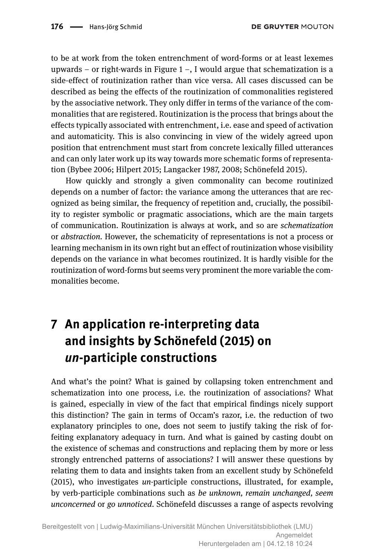to be at work from the token entrenchment of word-forms or at least lexemes upwards – or right-wards in Figure 1 –, I would argue that schematization is a side-effect of routinization rather than vice versa. All cases discussed can be described as being the effects of the routinization of commonalities registered by the associative network. They only differ in terms of the variance of the commonalities that are registered. Routinization is the process that brings about the effects typically associated with entrenchment, i.e. ease and speed of activation and automaticity. This is also convincing in view of the widely agreed upon position that entrenchment must start from concrete lexically filled utterances and can only later work up its way towards more schematic forms of representation (Bybee 2006; Hilpert 2015; Langacker 1987, 2008; Schönefeld 2015).

How quickly and strongly a given commonality can become routinized depends on a number of factor: the variance among the utterances that are recognized as being similar, the frequency of repetition and, crucially, the possibility to register symbolic or pragmatic associations, which are the main targets of communication. Routinization is always at work, and so are *schematization* or *abstraction*. However, the schematicity of representations is not a process or learning mechanism in its own right but an effect of routinization whose visibility depends on the variance in what becomes routinized. It is hardly visible for the routinization of word-forms but seems very prominent the more variable the commonalities become.

# **7 An application re-interpreting data and insights by Schönefeld (2015) on**  *un***-participle constructions**

And what's the point? What is gained by collapsing token entrenchment and schematization into one process, i.e. the routinization of associations? What is gained, especially in view of the fact that empirical findings nicely support this distinction? The gain in terms of Occam's razor, i.e. the reduction of two explanatory principles to one, does not seem to justify taking the risk of forfeiting explanatory adequacy in turn. And what is gained by casting doubt on the existence of schemas and constructions and replacing them by more or less strongly entrenched patterns of associations? I will answer these questions by relating them to data and insights taken from an excellent study by Schönefeld (2015), who investigates *un*-participle constructions, illustrated, for example, by verb-participle combinations such as *be unknown, remain unchanged, seem unconcerned* or *go unnoticed*. Schönefeld discusses a range of aspects revolving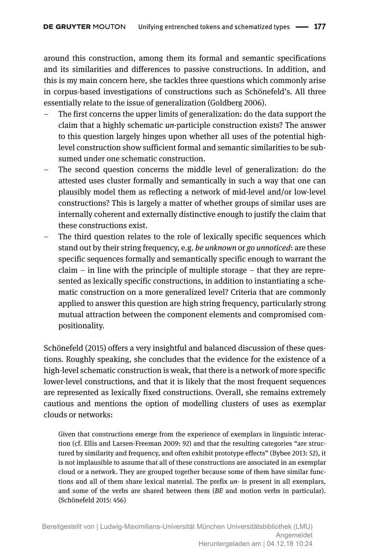around this construction, among them its formal and semantic specifications and its similarities and differences to passive constructions. In addition, and this is my main concern here, she tackles three questions which commonly arise in corpus-based investigations of constructions such as Schönefeld's. All three essentially relate to the issue of generalization (Goldberg 2006).

- The first concerns the upper limits of generalization: do the data support the claim that a highly schematic *un*-participle construction exists? The answer to this question largely hinges upon whether all uses of the potential highlevel construction show sufficient formal and semantic similarities to be subsumed under one schematic construction.
- The second question concerns the middle level of generalization: do the attested uses cluster formally and semantically in such a way that one can plausibly model them as reflecting a network of mid-level and/or low-level constructions? This is largely a matter of whether groups of similar uses are internally coherent and externally distinctive enough to justify the claim that these constructions exist.
- The third question relates to the role of lexically specific sequences which stand out by their string frequency, e.g. *be unknown* or *go unnoticed*: are these specific sequences formally and semantically specific enough to warrant the claim – in line with the principle of multiple storage – that they are represented as lexically specific constructions, in addition to instantiating a schematic construction on a more generalized level? Criteria that are commonly applied to answer this question are high string frequency, particularly strong mutual attraction between the component elements and compromised compositionality.

Schönefeld (2015) offers a very insightful and balanced discussion of these questions. Roughly speaking, she concludes that the evidence for the existence of a high-level schematic construction is weak, that there is a network of more specific lower-level constructions, and that it is likely that the most frequent sequences are represented as lexically fixed constructions. Overall, she remains extremely cautious and mentions the option of modelling clusters of uses as exemplar clouds or networks:

Given that constructions emerge from the experience of exemplars in linguistic interaction (cf. Ellis and Larsen-Freeman 2009: 92) and that the resulting categories "are structured by similarity and frequency, and often exhibit prototype effects" (Bybee 2013: 52), it is not implausible to assume that all of these constructions are associated in an exemplar cloud or a network. They are grouped together because some of them have similar functions and all of them share lexical material. The prefix *un*- is present in all exemplars, and some of the verbs are shared between them (*BE* and motion verbs in particular). (Schönefeld 2015: 456)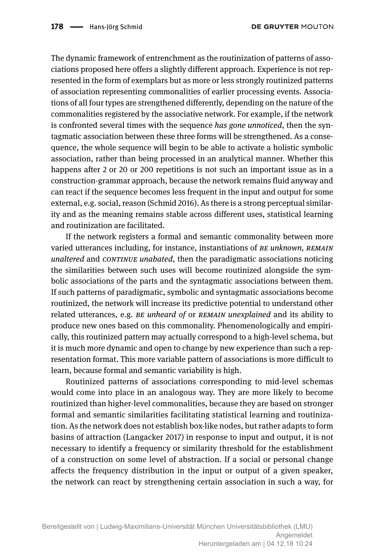The dynamic framework of entrenchment as the routinization of patterns of associations proposed here offers a slightly different approach. Experience is not represented in the form of exemplars but as more or less strongly routinized patterns of association representing commonalities of earlier processing events. Associations of all four types are strengthened differently, depending on the nature of the commonalities registered by the associative network. For example, if the network is confronted several times with the sequence *has gone unnoticed*, then the syntagmatic association between these three forms will be strengthened. As a consequence, the whole sequence will begin to be able to activate a holistic symbolic association, rather than being processed in an analytical manner. Whether this happens after 2 or 20 or 200 repetitions is not such an important issue as in a construction-grammar approach, because the network remains fluid anyway and can react if the sequence becomes less frequent in the input and output for some external, e.g. social, reason (Schmid 2016). As there is a strong perceptual similarity and as the meaning remains stable across different uses, statistical learning and routinization are facilitated.

If the network registers a formal and semantic commonality between more varied utterances including, for instance, instantiations of *be unknown, remain unaltered* and *continue unabated*, then the paradigmatic associations noticing the similarities between such uses will become routinized alongside the symbolic associations of the parts and the syntagmatic associations between them. If such patterns of paradigmatic, symbolic and syntagmatic associations become routinized, the network will increase its predictive potential to understand other related utterances, e.g. *be unheard of* or *remain unexplained* and its ability to produce new ones based on this commonality. Phenomenologically and empirically, this routinized pattern may actually correspond to a high-level schema, but it is much more dynamic and open to change by new experience than such a representation format. This more variable pattern of associations is more difficult to learn, because formal and semantic variability is high.

Routinized patterns of associations corresponding to mid-level schemas would come into place in an analogous way. They are more likely to become routinized than higher-level commonalities, because they are based on stronger formal and semantic similarities facilitating statistical learning and routinization. As the network does not establish box-like nodes, but rather adapts to form basins of attraction (Langacker 2017) in response to input and output, it is not necessary to identify a frequency or similarity threshold for the establishment of a construction on some level of abstraction. If a social or personal change affects the frequency distribution in the input or output of a given speaker, the network can react by strengthening certain association in such a way, for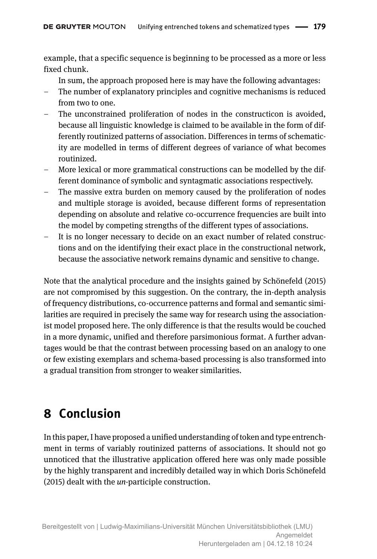example, that a specific sequence is beginning to be processed as a more or less fixed chunk.

In sum, the approach proposed here is may have the following advantages:

- The number of explanatory principles and cognitive mechanisms is reduced from two to one.
- The unconstrained proliferation of nodes in the constructicon is avoided, because all linguistic knowledge is claimed to be available in the form of differently routinized patterns of association. Differences in terms of schematicity are modelled in terms of different degrees of variance of what becomes routinized.
- More lexical or more grammatical constructions can be modelled by the different dominance of symbolic and syntagmatic associations respectively.
- The massive extra burden on memory caused by the proliferation of nodes and multiple storage is avoided, because different forms of representation depending on absolute and relative co-occurrence frequencies are built into the model by competing strengths of the different types of associations.
- It is no longer necessary to decide on an exact number of related constructions and on the identifying their exact place in the constructional network, because the associative network remains dynamic and sensitive to change.

Note that the analytical procedure and the insights gained by Schönefeld (2015) are not compromised by this suggestion. On the contrary, the in-depth analysis of frequency distributions, co-occurrence patterns and formal and semantic similarities are required in precisely the same way for research using the associationist model proposed here. The only difference is that the results would be couched in a more dynamic, unified and therefore parsimonious format. A further advantages would be that the contrast between processing based on an analogy to one or few existing exemplars and schema-based processing is also transformed into a gradual transition from stronger to weaker similarities.

## **8 Conclusion**

In this paper, I have proposed a unified understanding of token and type entrenchment in terms of variably routinized patterns of associations. It should not go unnoticed that the illustrative application offered here was only made possible by the highly transparent and incredibly detailed way in which Doris Schönefeld (2015) dealt with the *un*-participle construction.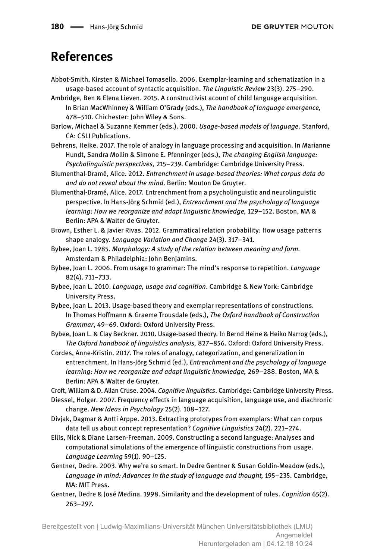### **References**

Abbot-Smith, Kirsten & Michael Tomasello. 2006. Exemplar-learning and schematization in a usage-based account of syntactic acquisition. *The Linguistic Review* 23(3). 275–290.

Ambridge, Ben & Elena Lieven. 2015. A constructivist acount of child language acquisition. In Brian MacWhinney & William O'Grady (eds.), *The handbook of language emergence,* 478–510. Chichester: John Wiley & Sons.

- Barlow, Michael & Suzanne Kemmer (eds.). 2000. *Usage-based models of language.* Stanford, CA: CSLI Publications.
- Behrens, Heike. 2017. The role of analogy in language processing and acquisition. In Marianne Hundt, Sandra Mollin & Simone E. Pfenninger (eds.), *The changing English language: Psycholinguistic perspectives,* 215–239. Cambridge: Cambridge University Press.
- Blumenthal-Dramé, Alice. 2012. *Entrenchment in usage-based theories: What corpus data do and do not reveal about the mind*. Berlin: Mouton De Gruyter.
- Blumenthal-Dramé, Alice. 2017. Entrenchment from a psycholinguistic and neurolinguistic perspective. In Hans-Jörg Schmid (ed.), *Entrenchment and the psychology of language learning: How we reorganize and adapt linguistic knowledge,* 129–152. Boston, MA & Berlin: APA & Walter de Gruyter.
- Brown, Esther L. & Javier Rivas. 2012. Grammatical relation probability: How usage patterns shape analogy. *Language Variation and Change* 24(3). 317–341.
- Bybee, Joan L. 1985. *Morphology: A study of the relation between meaning and form.* Amsterdam & Philadelphia: John Benjamins.
- Bybee, Joan L. 2006. From usage to grammar: The mind's response to repetition. *Language*  82(4). 711–733.
- Bybee, Joan L. 2010. *Language, usage and cognition*. Cambridge & New York: Cambridge University Press.
- Bybee, Joan L. 2013. Usage-based theory and exemplar representations of constructions. In Thomas Hoffmann & Graeme Trousdale (eds.), *The Oxford handbook of Construction Grammar*, 49–69. Oxford: Oxford University Press.
- Bybee, Joan L. & Clay Beckner. 2010. Usage-based theory. In Bernd Heine & Heiko Narrog (eds.), *The Oxford handbook of linguistics analysis,* 827–856. Oxford: Oxford University Press.
- Cordes, Anne-Kristin. 2017. The roles of analogy, categorization, and generalization in entrenchment. In Hans-Jörg Schmid (ed.), *Entrenchment and the psychology of language learning: How we reorganize and adapt linguistic knowledge,* 269–288. Boston, MA & Berlin: APA & Walter de Gruyter.
- Croft, William & D. Allan Cruse. 2004. *Cognitive linguistics*. Cambridge: Cambridge University Press.
- Diessel, Holger. 2007. Frequency effects in language acquisition, language use, and diachronic change. *New Ideas in Psychology* 25(2). 108–127.
- Divjak, Dagmar & Antti Arppe. 2013. Extracting prototypes from exemplars: What can corpus data tell us about concept representation? *Cognitive Linguistics* 24(2). 221–274.
- Ellis, Nick & Diane Larsen-Freeman. 2009. Constructing a second language: Analyses and computational simulations of the emergence of linguistic constructions from usage. *Language Learning* 59(1). 90–125.
- Gentner, Dedre. 2003. Why we're so smart. In Dedre Gentner & Susan Goldin-Meadow (eds.), *Language in mind: Advances in the study of language and thought,* 195–235. Cambridge, MA: MIT Press.
- Gentner, Dedre & José Medina. 1998. Similarity and the development of rules. *Cognition* 65(2). 263–297.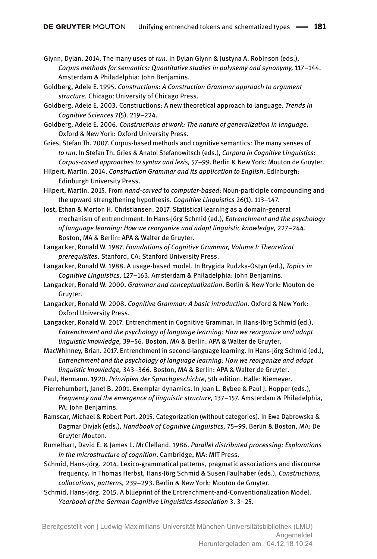- Glynn, Dylan. 2014. The many uses of *run*. In Dylan Glynn & Justyna A. Robinson (eds.), *Corpus methods for semantics: Quantitative studies in polysemy and synonymy,* 117–144. Amsterdam & Philadelphia: John Benjamins.
- Goldberg, Adele E. 1995. *Constructions: A Construction Grammar approach to argument structure*. Chicago: University of Chicago Press.
- Goldberg, Adele E. 2003. Constructions: A new theoretical approach to language. *Trends in Cognitive Sciences* 7(5). 219–224.
- Goldberg, Adele E. 2006. *Constructions at work: The nature of generalization in language*. Oxford & New York: Oxford University Press.
- Gries, Stefan Th. 2007. Corpus-based methods and cognitive semantics: The many senses of *to run*. In Stefan Th. Gries & Anatol Stefanowitsch (eds.), *Corpora in Cognitive Linguistics: Corpus-cased approaches to syntax and lexis,* 57–99. Berlin & New York: Mouton de Gruyter.
- Hilpert, Martin. 2014. *Construction Grammar and its application to English*. Edinburgh: Edinburgh University Press.
- Hilpert, Martin. 2015. From *hand-carved* to *computer-based*: Noun-participle compounding and the upward strengthening hypothesis. *Cognitive Linguistics* 26(1). 113–147.
- Jost, Ethan & Morton H. Christiansen. 2017. Statistical learning as a domain-general mechanism of entrenchment. In Hans-Jörg Schmid (ed.), *Entrenchment and the psychology of language learning: How we reorganize and adapt linguistic knowledge,* 227–244. Boston, MA & Berlin: APA & Walter de Gruyter.
- Langacker, Ronald W. 1987. *Foundations of Cognitive Grammar, Volume I: Theoretical prerequisites*. Stanford, CA: Stanford University Press.
- Langacker, Ronald W. 1988. A usage-based model. In Brygida Rudzka-Ostyn (ed.), *Topics in Cognitive Linguistics,* 127–163. Amsterdam & Philadelphia: John Benjamins.
- Langacker, Ronald W. 2000. *Grammar and conceptualization*. Berlin & New York: Mouton de Gruyter.
- Langacker, Ronald W. 2008. *Cognitive Grammar: A basic introduction*. Oxford & New York: Oxford University Press.
- Langacker, Ronald W. 2017. Entrenchment in Cognitive Grammar. In Hans-Jörg Schmid (ed.), *Entrenchment and the psychology of language learning: How we reorganize and adapt linguistic knowledge,* 39–56. Boston, MA & Berlin: APA & Walter de Gruyter.
- MacWhinney, Brian. 2017. Entrenchment in second-language learning. In Hans-Jörg Schmid (ed.), *Entrenchment and the psychology of language learning: How we reorganize and adapt linguistic knowledge,* 343–366. Boston, MA & Berlin: APA & Walter de Gruyter.
- Paul, Hermann. 1920. *Prinzipien der Sprachgeschichte*, 5th edition. Halle: Niemeyer.
- Pierrehumbert, Janet B. 2001. Exemplar dynamics. In Joan L. Bybee & Paul J. Hopper (eds.), *Frequency and the emergence of linguistic structure,* 137–157. Amsterdam & Philadelphia, PA: John Benjamins.
- Ramscar, Michael & Robert Port. 2015. Categorization (without categories). In Ewa Dąbrowska & Dagmar Divjak (eds.), *Handbook of Cognitive Linguistics,* 75–99. Berlin & Boston, MA: De Gruyter Mouton.
- Rumelhart, David E. & James L. McClelland. 1986. *Parallel distributed processing: Explorations in the microstructure of cognition*. Cambridge, MA: MIT Press.
- Schmid, Hans-Jörg. 2014. Lexico-grammatical patterns, pragmatic associations and discourse frequency. In Thomas Herbst, Hans-Jörg Schmid & Susen Faulhaber (eds.), *Constructions, collocations, patterns,* 239–293. Berlin & New York: Mouton de Gruyter.
- Schmid, Hans-Jörg. 2015. A blueprint of the Entrenchment-and-Conventionalization Model. *Yearbook of the German Cognitive Linguistics Association* 3. 3–25.